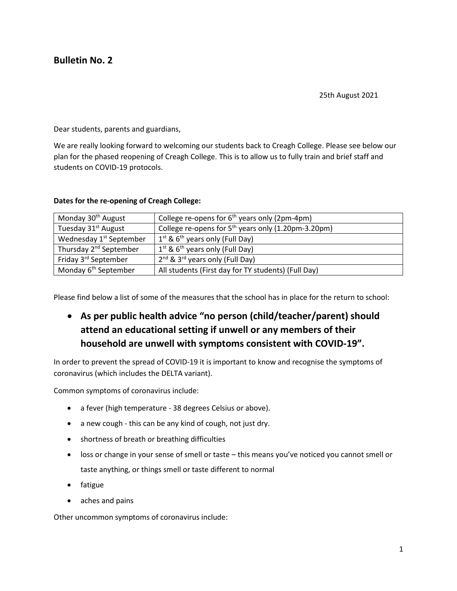# **Bulletin No. 2**

25th August 2021

Dear students, parents and guardians,

We are really looking forward to welcoming our students back to Creagh College. Please see below our plan for the phased reopening of Creagh College. This is to allow us to fully train and brief staff and students on COVID-19 protocols.

| Monday 30 <sup>th</sup> August      | College re-opens for $6th$ years only (2pm-4pm)         |
|-------------------------------------|---------------------------------------------------------|
| Tuesday 31 <sup>st</sup> August     | College re-opens for $5th$ years only (1.20pm-3.20pm)   |
| Wednesday 1 <sup>st</sup> September | $1st$ & 6 <sup>th</sup> years only (Full Day)           |
| Thursday 2 <sup>nd</sup> September  | $1^{st}$ & 6 <sup>th</sup> years only (Full Day)        |
| Friday 3 <sup>rd</sup> September    | 2 <sup>nd</sup> & 3 <sup>rd</sup> years only (Full Day) |
| Monday 6 <sup>th</sup> September    | All students (First day for TY students) (Full Day)     |

#### **Dates for the re-opening of Creagh College:**

Please find below a list of some of the measures that the school has in place for the return to school:

• **As per public health advice "no person (child/teacher/parent) should attend an educational setting if unwell or any members of their household are unwell with symptoms consistent with COVID-19".**

In order to prevent the spread of COVID-19 it is important to know and recognise the symptoms of coronavirus (which includes the DELTA variant).

Common symptoms of coronavirus include:

- a fever (high temperature 38 degrees Celsius or above).
- a new cough this can be any kind of cough, not just dry.
- shortness of breath or breathing difficulties
- loss or change in your sense of smell or taste this means you've noticed you cannot smell or taste anything, or things smell or taste different to normal
- fatigue
- aches and pains

Other uncommon symptoms of coronavirus include: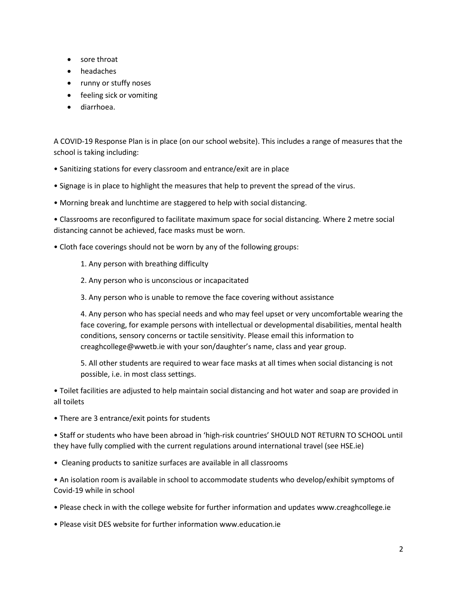- sore throat
- headaches
- runny or stuffy noses
- feeling sick or vomiting
- diarrhoea.

A COVID-19 Response Plan is in place (on our school website). This includes a range of measures that the school is taking including:

- Sanitizing stations for every classroom and entrance/exit are in place
- Signage is in place to highlight the measures that help to prevent the spread of the virus.
- Morning break and lunchtime are staggered to help with social distancing.

• Classrooms are reconfigured to facilitate maximum space for social distancing. Where 2 metre social distancing cannot be achieved, face masks must be worn.

- Cloth face coverings should not be worn by any of the following groups:
	- 1. Any person with breathing difficulty
	- 2. Any person who is unconscious or incapacitated
	- 3. Any person who is unable to remove the face covering without assistance

4. Any person who has special needs and who may feel upset or very uncomfortable wearing the face covering, for example persons with intellectual or developmental disabilities, mental health conditions, sensory concerns or tactile sensitivity. Please email this information to creaghcollege@wwetb.ie with your son/daughter's name, class and year group.

5. All other students are required to wear face masks at all times when social distancing is not possible, i.e. in most class settings.

• Toilet facilities are adjusted to help maintain social distancing and hot water and soap are provided in all toilets

• There are 3 entrance/exit points for students

• Staff or students who have been abroad in 'high-risk countries' SHOULD NOT RETURN TO SCHOOL until they have fully complied with the current regulations around international travel (see HSE.ie)

• Cleaning products to sanitize surfaces are available in all classrooms

• An isolation room is available in school to accommodate students who develop/exhibit symptoms of Covid-19 while in school

- Please check in with the college website for further information and updates www.creaghcollege.ie
- Please visit DES website for further information www.education.ie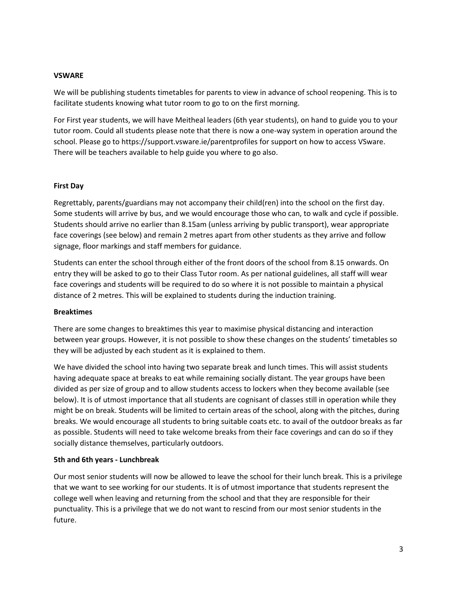# **VSWARE**

We will be publishing students timetables for parents to view in advance of school reopening. This is to facilitate students knowing what tutor room to go to on the first morning.

For First year students, we will have Meitheal leaders (6th year students), on hand to guide you to your tutor room. Could all students please note that there is now a one-way system in operation around the school. Please go to https://support.vsware.ie/parentprofiles for support on how to access VSware. There will be teachers available to help guide you where to go also.

#### **First Day**

Regrettably, parents/guardians may not accompany their child(ren) into the school on the first day. Some students will arrive by bus, and we would encourage those who can, to walk and cycle if possible. Students should arrive no earlier than 8.15am (unless arriving by public transport), wear appropriate face coverings (see below) and remain 2 metres apart from other students as they arrive and follow signage, floor markings and staff members for guidance.

Students can enter the school through either of the front doors of the school from 8.15 onwards. On entry they will be asked to go to their Class Tutor room. As per national guidelines, all staff will wear face coverings and students will be required to do so where it is not possible to maintain a physical distance of 2 metres. This will be explained to students during the induction training.

#### **Breaktimes**

There are some changes to breaktimes this year to maximise physical distancing and interaction between year groups. However, it is not possible to show these changes on the students' timetables so they will be adjusted by each student as it is explained to them.

We have divided the school into having two separate break and lunch times. This will assist students having adequate space at breaks to eat while remaining socially distant. The year groups have been divided as per size of group and to allow students access to lockers when they become available (see below). It is of utmost importance that all students are cognisant of classes still in operation while they might be on break. Students will be limited to certain areas of the school, along with the pitches, during breaks. We would encourage all students to bring suitable coats etc. to avail of the outdoor breaks as far as possible. Students will need to take welcome breaks from their face coverings and can do so if they socially distance themselves, particularly outdoors.

# **5th and 6th years - Lunchbreak**

Our most senior students will now be allowed to leave the school for their lunch break. This is a privilege that we want to see working for our students. It is of utmost importance that students represent the college well when leaving and returning from the school and that they are responsible for their punctuality. This is a privilege that we do not want to rescind from our most senior students in the future.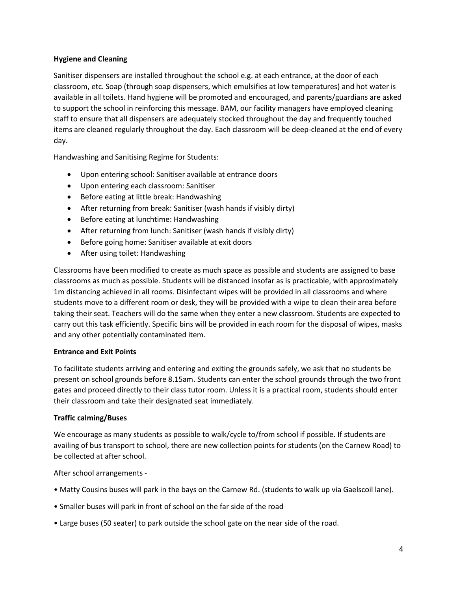# **Hygiene and Cleaning**

Sanitiser dispensers are installed throughout the school e.g. at each entrance, at the door of each classroom, etc. Soap (through soap dispensers, which emulsifies at low temperatures) and hot water is available in all toilets. Hand hygiene will be promoted and encouraged, and parents/guardians are asked to support the school in reinforcing this message. BAM, our facility managers have employed cleaning staff to ensure that all dispensers are adequately stocked throughout the day and frequently touched items are cleaned regularly throughout the day. Each classroom will be deep-cleaned at the end of every day.

Handwashing and Sanitising Regime for Students:

- Upon entering school: Sanitiser available at entrance doors
- Upon entering each classroom: Sanitiser
- Before eating at little break: Handwashing
- After returning from break: Sanitiser (wash hands if visibly dirty)
- Before eating at lunchtime: Handwashing
- After returning from lunch: Sanitiser (wash hands if visibly dirty)
- Before going home: Sanitiser available at exit doors
- After using toilet: Handwashing

Classrooms have been modified to create as much space as possible and students are assigned to base classrooms as much as possible. Students will be distanced insofar as is practicable, with approximately 1m distancing achieved in all rooms. Disinfectant wipes will be provided in all classrooms and where students move to a different room or desk, they will be provided with a wipe to clean their area before taking their seat. Teachers will do the same when they enter a new classroom. Students are expected to carry out this task efficiently. Specific bins will be provided in each room for the disposal of wipes, masks and any other potentially contaminated item.

# **Entrance and Exit Points**

To facilitate students arriving and entering and exiting the grounds safely, we ask that no students be present on school grounds before 8.15am. Students can enter the school grounds through the two front gates and proceed directly to their class tutor room. Unless it is a practical room, students should enter their classroom and take their designated seat immediately.

# **Traffic calming/Buses**

We encourage as many students as possible to walk/cycle to/from school if possible. If students are availing of bus transport to school, there are new collection points for students (on the Carnew Road) to be collected at after school.

After school arrangements -

- Matty Cousins buses will park in the bays on the Carnew Rd. (students to walk up via Gaelscoil lane).
- Smaller buses will park in front of school on the far side of the road
- Large buses (50 seater) to park outside the school gate on the near side of the road.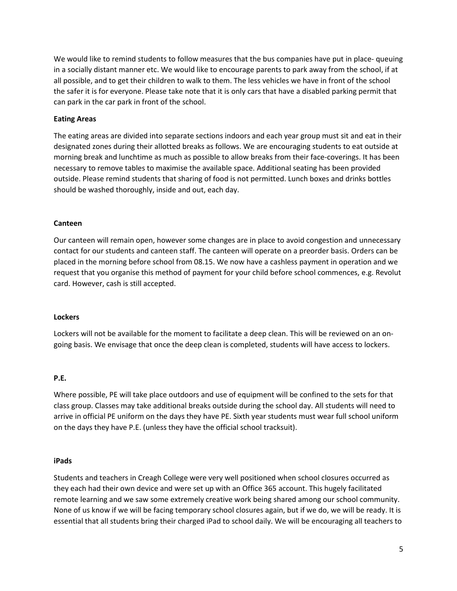We would like to remind students to follow measures that the bus companies have put in place- queuing in a socially distant manner etc. We would like to encourage parents to park away from the school, if at all possible, and to get their children to walk to them. The less vehicles we have in front of the school the safer it is for everyone. Please take note that it is only cars that have a disabled parking permit that can park in the car park in front of the school.

# **Eating Areas**

The eating areas are divided into separate sections indoors and each year group must sit and eat in their designated zones during their allotted breaks as follows. We are encouraging students to eat outside at morning break and lunchtime as much as possible to allow breaks from their face-coverings. It has been necessary to remove tables to maximise the available space. Additional seating has been provided outside. Please remind students that sharing of food is not permitted. Lunch boxes and drinks bottles should be washed thoroughly, inside and out, each day.

# **Canteen**

Our canteen will remain open, however some changes are in place to avoid congestion and unnecessary contact for our students and canteen staff. The canteen will operate on a preorder basis. Orders can be placed in the morning before school from 08.15. We now have a cashless payment in operation and we request that you organise this method of payment for your child before school commences, e.g. Revolut card. However, cash is still accepted.

# **Lockers**

Lockers will not be available for the moment to facilitate a deep clean. This will be reviewed on an ongoing basis. We envisage that once the deep clean is completed, students will have access to lockers.

# **P.E.**

Where possible, PE will take place outdoors and use of equipment will be confined to the sets for that class group. Classes may take additional breaks outside during the school day. All students will need to arrive in official PE uniform on the days they have PE. Sixth year students must wear full school uniform on the days they have P.E. (unless they have the official school tracksuit).

# **iPads**

Students and teachers in Creagh College were very well positioned when school closures occurred as they each had their own device and were set up with an Office 365 account. This hugely facilitated remote learning and we saw some extremely creative work being shared among our school community. None of us know if we will be facing temporary school closures again, but if we do, we will be ready. It is essential that all students bring their charged iPad to school daily. We will be encouraging all teachers to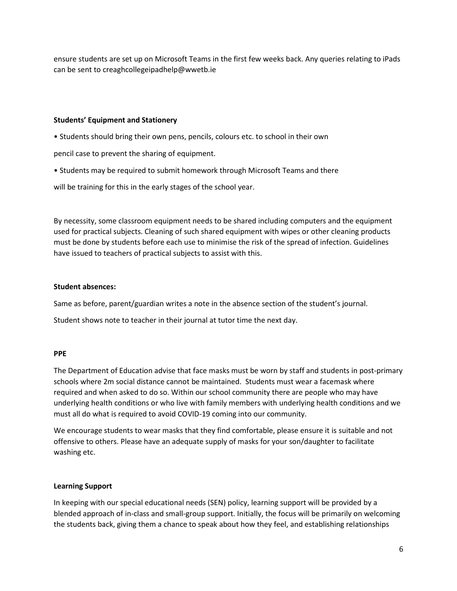ensure students are set up on Microsoft Teams in the first few weeks back. Any queries relating to iPads can be sent to creaghcollegeipadhelp@wwetb.ie

# **Students' Equipment and Stationery**

• Students should bring their own pens, pencils, colours etc. to school in their own

pencil case to prevent the sharing of equipment.

• Students may be required to submit homework through Microsoft Teams and there

will be training for this in the early stages of the school year.

By necessity, some classroom equipment needs to be shared including computers and the equipment used for practical subjects. Cleaning of such shared equipment with wipes or other cleaning products must be done by students before each use to minimise the risk of the spread of infection. Guidelines have issued to teachers of practical subjects to assist with this.

# **Student absences:**

Same as before, parent/guardian writes a note in the absence section of the student's journal.

Student shows note to teacher in their journal at tutor time the next day.

# **PPE**

The Department of Education advise that face masks must be worn by staff and students in post-primary schools where 2m social distance cannot be maintained. Students must wear a facemask where required and when asked to do so. Within our school community there are people who may have underlying health conditions or who live with family members with underlying health conditions and we must all do what is required to avoid COVID-19 coming into our community.

We encourage students to wear masks that they find comfortable, please ensure it is suitable and not offensive to others. Please have an adequate supply of masks for your son/daughter to facilitate washing etc.

# **Learning Support**

In keeping with our special educational needs (SEN) policy, learning support will be provided by a blended approach of in-class and small-group support. Initially, the focus will be primarily on welcoming the students back, giving them a chance to speak about how they feel, and establishing relationships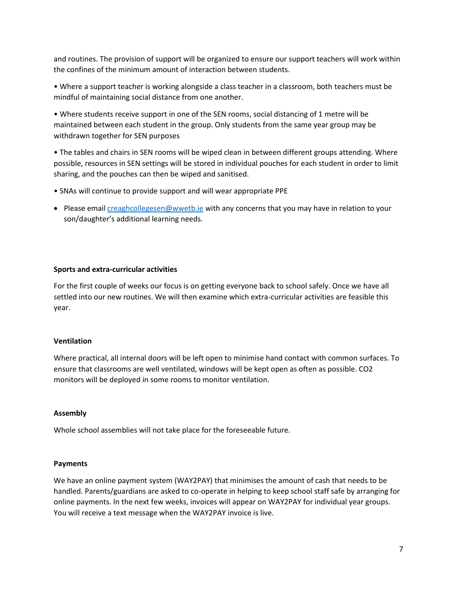and routines. The provision of support will be organized to ensure our support teachers will work within the confines of the minimum amount of interaction between students.

• Where a support teacher is working alongside a class teacher in a classroom, both teachers must be mindful of maintaining social distance from one another.

• Where students receive support in one of the SEN rooms, social distancing of 1 metre will be maintained between each student in the group. Only students from the same year group may be withdrawn together for SEN purposes

• The tables and chairs in SEN rooms will be wiped clean in between different groups attending. Where possible, resources in SEN settings will be stored in individual pouches for each student in order to limit sharing, and the pouches can then be wiped and sanitised.

- SNAs will continue to provide support and will wear appropriate PPE
- Please email [creaghcollegesen@wwetb.ie](mailto:creaghcollegesen@wwetb.ie) with any concerns that you may have in relation to your son/daughter's additional learning needs.

# **Sports and extra-curricular activities**

For the first couple of weeks our focus is on getting everyone back to school safely. Once we have all settled into our new routines. We will then examine which extra-curricular activities are feasible this year.

# **Ventilation**

Where practical, all internal doors will be left open to minimise hand contact with common surfaces. To ensure that classrooms are well ventilated, windows will be kept open as often as possible. CO2 monitors will be deployed in some rooms to monitor ventilation.

# **Assembly**

Whole school assemblies will not take place for the foreseeable future.

# **Payments**

We have an online payment system (WAY2PAY) that minimises the amount of cash that needs to be handled. Parents/guardians are asked to co-operate in helping to keep school staff safe by arranging for online payments. In the next few weeks, invoices will appear on WAY2PAY for individual year groups. You will receive a text message when the WAY2PAY invoice is live.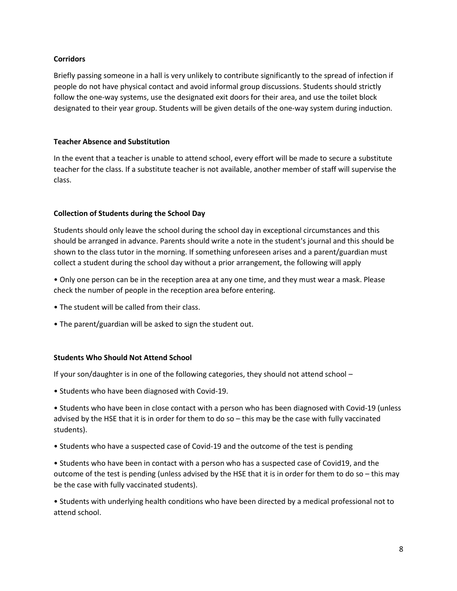# **Corridors**

Briefly passing someone in a hall is very unlikely to contribute significantly to the spread of infection if people do not have physical contact and avoid informal group discussions. Students should strictly follow the one-way systems, use the designated exit doors for their area, and use the toilet block designated to their year group. Students will be given details of the one-way system during induction.

# **Teacher Absence and Substitution**

In the event that a teacher is unable to attend school, every effort will be made to secure a substitute teacher for the class. If a substitute teacher is not available, another member of staff will supervise the class.

# **Collection of Students during the School Day**

Students should only leave the school during the school day in exceptional circumstances and this should be arranged in advance. Parents should write a note in the student's journal and this should be shown to the class tutor in the morning. If something unforeseen arises and a parent/guardian must collect a student during the school day without a prior arrangement, the following will apply

• Only one person can be in the reception area at any one time, and they must wear a mask. Please check the number of people in the reception area before entering.

- The student will be called from their class.
- The parent/guardian will be asked to sign the student out.

# **Students Who Should Not Attend School**

If your son/daughter is in one of the following categories, they should not attend school –

• Students who have been diagnosed with Covid-19.

• Students who have been in close contact with a person who has been diagnosed with Covid-19 (unless advised by the HSE that it is in order for them to do so – this may be the case with fully vaccinated students).

• Students who have a suspected case of Covid-19 and the outcome of the test is pending

• Students who have been in contact with a person who has a suspected case of Covid19, and the outcome of the test is pending (unless advised by the HSE that it is in order for them to do so – this may be the case with fully vaccinated students).

• Students with underlying health conditions who have been directed by a medical professional not to attend school.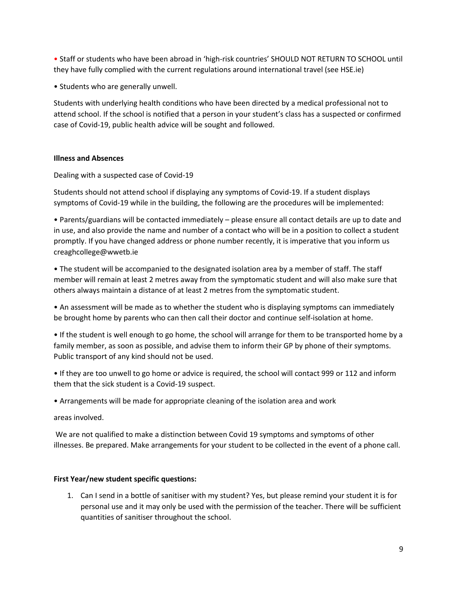• Staff or students who have been abroad in 'high-risk countries' SHOULD NOT RETURN TO SCHOOL until they have fully complied with the current regulations around international travel (see HSE.ie)

• Students who are generally unwell.

Students with underlying health conditions who have been directed by a medical professional not to attend school. If the school is notified that a person in your student's class has a suspected or confirmed case of Covid-19, public health advice will be sought and followed.

# **Illness and Absences**

Dealing with a suspected case of Covid-19

Students should not attend school if displaying any symptoms of Covid-19. If a student displays symptoms of Covid-19 while in the building, the following are the procedures will be implemented:

• Parents/guardians will be contacted immediately – please ensure all contact details are up to date and in use, and also provide the name and number of a contact who will be in a position to collect a student promptly. If you have changed address or phone number recently, it is imperative that you inform us creaghcollege@wwetb.ie

• The student will be accompanied to the designated isolation area by a member of staff. The staff member will remain at least 2 metres away from the symptomatic student and will also make sure that others always maintain a distance of at least 2 metres from the symptomatic student.

• An assessment will be made as to whether the student who is displaying symptoms can immediately be brought home by parents who can then call their doctor and continue self-isolation at home.

• If the student is well enough to go home, the school will arrange for them to be transported home by a family member, as soon as possible, and advise them to inform their GP by phone of their symptoms. Public transport of any kind should not be used.

• If they are too unwell to go home or advice is required, the school will contact 999 or 112 and inform them that the sick student is a Covid-19 suspect.

• Arrangements will be made for appropriate cleaning of the isolation area and work

areas involved.

We are not qualified to make a distinction between Covid 19 symptoms and symptoms of other illnesses. Be prepared. Make arrangements for your student to be collected in the event of a phone call.

# **First Year/new student specific questions:**

1. Can I send in a bottle of sanitiser with my student? Yes, but please remind your student it is for personal use and it may only be used with the permission of the teacher. There will be sufficient quantities of sanitiser throughout the school.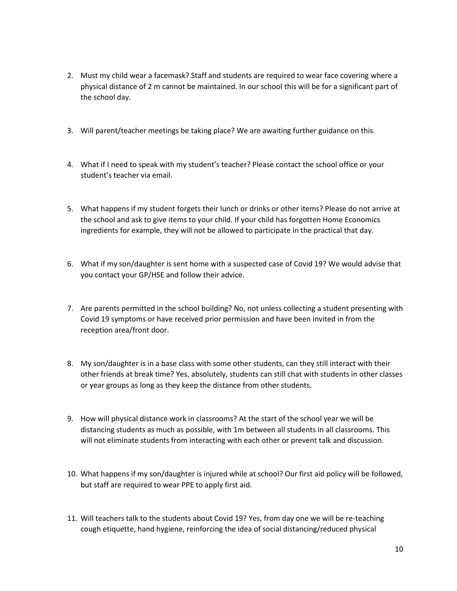- 2. Must my child wear a facemask? Staff and students are required to wear face covering where a physical distance of 2 m cannot be maintained. In our school this will be for a significant part of the school day.
- 3. Will parent/teacher meetings be taking place? We are awaiting further guidance on this.
- 4. What if I need to speak with my student's teacher? Please contact the school office or your student's teacher via email.
- 5. What happens if my student forgets their lunch or drinks or other items? Please do not arrive at the school and ask to give items to your child. If your child has forgotten Home Economics ingredients for example, they will not be allowed to participate in the practical that day.
- 6. What if my son/daughter is sent home with a suspected case of Covid 19? We would advise that you contact your GP/HSE and follow their advice.
- 7. Are parents permitted in the school building? No, not unless collecting a student presenting with Covid 19 symptoms or have received prior permission and have been invited in from the reception area/front door.
- 8. My son/daughter is in a base class with some other students, can they still interact with their other friends at break time? Yes, absolutely, students can still chat with students in other classes or year groups as long as they keep the distance from other students.
- 9. How will physical distance work in classrooms? At the start of the school year we will be distancing students as much as possible, with 1m between all students in all classrooms. This will not eliminate students from interacting with each other or prevent talk and discussion.
- 10. What happens if my son/daughter is injured while at school? Our first aid policy will be followed, but staff are required to wear PPE to apply first aid.
- 11. Will teachers talk to the students about Covid 19? Yes, from day one we will be re-teaching cough etiquette, hand hygiene, reinforcing the idea of social distancing/reduced physical